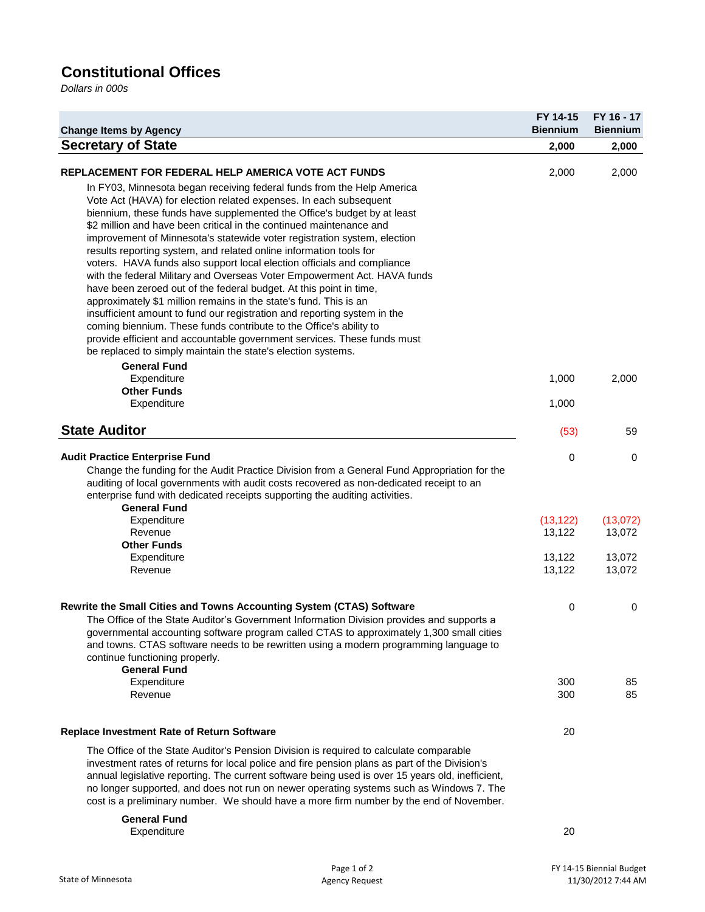## **Constitutional Offices**

*Dollars in 000s*

| <b>Change Items by Agency</b>                                                                                                                                                                                                                                                                                                                                                                                                                                                                                                                                                                                                                                                                                                                                                                                                                                                                                                                                                                                                                  | FY 14-15<br><b>Biennium</b> | FY 16 - 17<br><b>Biennium</b> |
|------------------------------------------------------------------------------------------------------------------------------------------------------------------------------------------------------------------------------------------------------------------------------------------------------------------------------------------------------------------------------------------------------------------------------------------------------------------------------------------------------------------------------------------------------------------------------------------------------------------------------------------------------------------------------------------------------------------------------------------------------------------------------------------------------------------------------------------------------------------------------------------------------------------------------------------------------------------------------------------------------------------------------------------------|-----------------------------|-------------------------------|
| <b>Secretary of State</b>                                                                                                                                                                                                                                                                                                                                                                                                                                                                                                                                                                                                                                                                                                                                                                                                                                                                                                                                                                                                                      | 2,000                       | 2,000                         |
| <b>REPLACEMENT FOR FEDERAL HELP AMERICA VOTE ACT FUNDS</b>                                                                                                                                                                                                                                                                                                                                                                                                                                                                                                                                                                                                                                                                                                                                                                                                                                                                                                                                                                                     | 2,000                       | 2,000                         |
| In FY03, Minnesota began receiving federal funds from the Help America<br>Vote Act (HAVA) for election related expenses. In each subsequent<br>biennium, these funds have supplemented the Office's budget by at least<br>\$2 million and have been critical in the continued maintenance and<br>improvement of Minnesota's statewide voter registration system, election<br>results reporting system, and related online information tools for<br>voters. HAVA funds also support local election officials and compliance<br>with the federal Military and Overseas Voter Empowerment Act. HAVA funds<br>have been zeroed out of the federal budget. At this point in time,<br>approximately \$1 million remains in the state's fund. This is an<br>insufficient amount to fund our registration and reporting system in the<br>coming biennium. These funds contribute to the Office's ability to<br>provide efficient and accountable government services. These funds must<br>be replaced to simply maintain the state's election systems. |                             |                               |
| <b>General Fund</b><br>Expenditure                                                                                                                                                                                                                                                                                                                                                                                                                                                                                                                                                                                                                                                                                                                                                                                                                                                                                                                                                                                                             | 1,000                       | 2,000                         |
| <b>Other Funds</b><br>Expenditure                                                                                                                                                                                                                                                                                                                                                                                                                                                                                                                                                                                                                                                                                                                                                                                                                                                                                                                                                                                                              | 1,000                       |                               |
| <b>State Auditor</b>                                                                                                                                                                                                                                                                                                                                                                                                                                                                                                                                                                                                                                                                                                                                                                                                                                                                                                                                                                                                                           | (53)                        | 59                            |
| <b>Audit Practice Enterprise Fund</b><br>Change the funding for the Audit Practice Division from a General Fund Appropriation for the<br>auditing of local governments with audit costs recovered as non-dedicated receipt to an<br>enterprise fund with dedicated receipts supporting the auditing activities.<br><b>General Fund</b>                                                                                                                                                                                                                                                                                                                                                                                                                                                                                                                                                                                                                                                                                                         | 0                           | 0                             |
| Expenditure<br>Revenue                                                                                                                                                                                                                                                                                                                                                                                                                                                                                                                                                                                                                                                                                                                                                                                                                                                                                                                                                                                                                         | (13, 122)<br>13,122         | (13,072)<br>13,072            |
| <b>Other Funds</b><br>Expenditure<br>Revenue                                                                                                                                                                                                                                                                                                                                                                                                                                                                                                                                                                                                                                                                                                                                                                                                                                                                                                                                                                                                   | 13,122<br>13,122            | 13,072<br>13,072              |
| Rewrite the Small Cities and Towns Accounting System (CTAS) Software<br>The Office of the State Auditor's Government Information Division provides and supports a<br>governmental accounting software program called CTAS to approximately 1,300 small cities<br>and towns. CTAS software needs to be rewritten using a modern programming language to<br>continue functioning properly.<br><b>General Fund</b>                                                                                                                                                                                                                                                                                                                                                                                                                                                                                                                                                                                                                                | 0                           | 0                             |
| Expenditure<br>Revenue                                                                                                                                                                                                                                                                                                                                                                                                                                                                                                                                                                                                                                                                                                                                                                                                                                                                                                                                                                                                                         | 300<br>300                  | 85<br>85                      |
| <b>Replace Investment Rate of Return Software</b>                                                                                                                                                                                                                                                                                                                                                                                                                                                                                                                                                                                                                                                                                                                                                                                                                                                                                                                                                                                              | 20                          |                               |
| The Office of the State Auditor's Pension Division is required to calculate comparable<br>investment rates of returns for local police and fire pension plans as part of the Division's<br>annual legislative reporting. The current software being used is over 15 years old, inefficient,<br>no longer supported, and does not run on newer operating systems such as Windows 7. The<br>cost is a preliminary number. We should have a more firm number by the end of November.                                                                                                                                                                                                                                                                                                                                                                                                                                                                                                                                                              |                             |                               |
| <b>General Fund</b><br>Expenditure                                                                                                                                                                                                                                                                                                                                                                                                                                                                                                                                                                                                                                                                                                                                                                                                                                                                                                                                                                                                             | 20                          |                               |